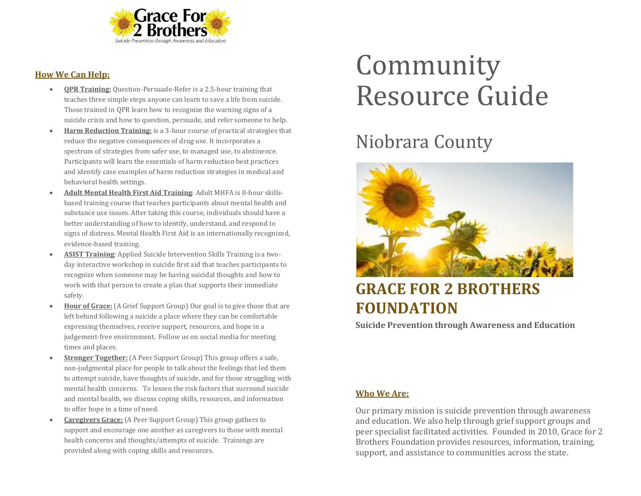

#### **How We Can Help:**

- **QPR Training:** Question-Persuade-Refer is a 2.5-hour training that teaches three simple steps anyone can learn to save a life from suicide. Those trained in QPR learn how to recognize the warning signs of a suicide crisis and how to question, persuade, and refer someone to help.
- **Harm Reduction Training:** is a 3-hour course of practical strategies that reduce the negative consequences of drug use. It incorporates a spectrum of strategies from safer use, to managed use, to abstinence. Participants will learn the essentials of harm reduction best practices and identify case examples of harm reduction strategies in medical and behavioral health settings.
- **Adult Mental Health First Aid Training**: Adult MHFA is 8-hour skillsbased training course that teaches participants about mental health and substance use issues. After taking this course, individuals should have a better understanding of how to identify, understand, and respond to signs of distress. Mental Health First Aid is an internationally recognized, evidence-based training.
- **ASIST Training**: Applied Suicide Intervention Skills Training is a twoday interactive workshop in suicide first aid that teaches participants to recognize when someone may be having suicidal thoughts and how to work with that person to create a plan that supports their immediate safety.
- **Hour of Grace:** (A Grief Support Group) Our goal is to give those that are left behind following a suicide a place where they can be comfortable expressing themselves, receive support, resources, and hope in a judgement-free environment. Follow us on social media for meeting times and places.
- **Stronger Together:** (A Peer Support Group) This group offers a safe, non-judgmental place for people to talk about the feelings that led them to attempt suicide, have thoughts of suicide, and for those struggling with mental health concerns. To lessen the risk factors that surround suicide and mental health, we discuss coping skills, resources, and information to offer hope in a time of need.
- **Caregivers Grace:** (A Peer Support Group) This group gathers to support and encourage one another as caregivers to those with mental health concerns and thoughts/attempts of suicide. Trainings are provided along with coping skills and resources.

# Community Resource Guide

## Niobrara County



### **GRACE FOR 2 BROTHERS FOUNDATION**

**Suicide Prevention through Awareness and Education**

#### **Who We Are:**

Our primary mission is suicide prevention through awareness and education. We also help through grief support groups and peer specialist facilitated activities. Founded in 2010, Grace for 2 Brothers Foundation provides resources, information, training, support, and assistance to communities across the state.